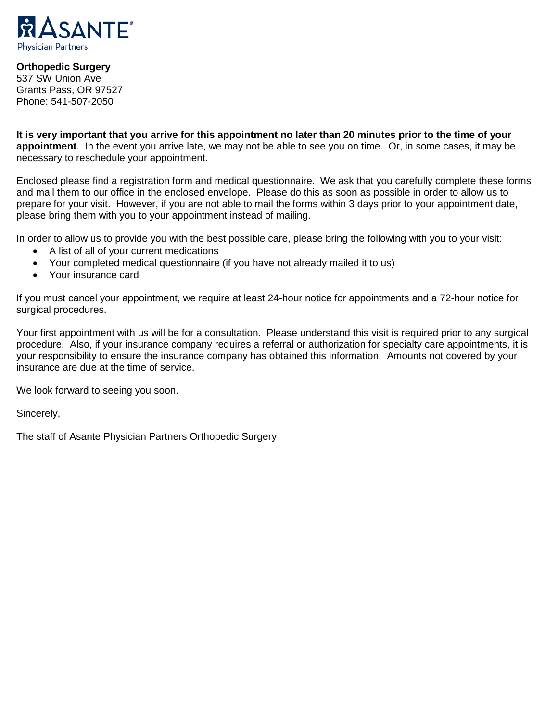

### **Orthopedic Surgery**

537 SW Union Ave Grants Pass, OR 97527 Phone: 541-507-2050

**It is very important that you arrive for this appointment no later than 20 minutes prior to the time of your appointment**. In the event you arrive late, we may not be able to see you on time. Or, in some cases, it may be necessary to reschedule your appointment.

Enclosed please find a registration form and medical questionnaire. We ask that you carefully complete these forms and mail them to our office in the enclosed envelope. Please do this as soon as possible in order to allow us to prepare for your visit. However, if you are not able to mail the forms within 3 days prior to your appointment date, please bring them with you to your appointment instead of mailing.

In order to allow us to provide you with the best possible care, please bring the following with you to your visit:

- A list of all of your current medications
- Your completed medical questionnaire (if you have not already mailed it to us)
- Your insurance card

If you must cancel your appointment, we require at least 24-hour notice for appointments and a 72-hour notice for surgical procedures.

Your first appointment with us will be for a consultation. Please understand this visit is required prior to any surgical procedure. Also, if your insurance company requires a referral or authorization for specialty care appointments, it is your responsibility to ensure the insurance company has obtained this information. Amounts not covered by your insurance are due at the time of service.

We look forward to seeing you soon.

Sincerely,

The staff of Asante Physician Partners Orthopedic Surgery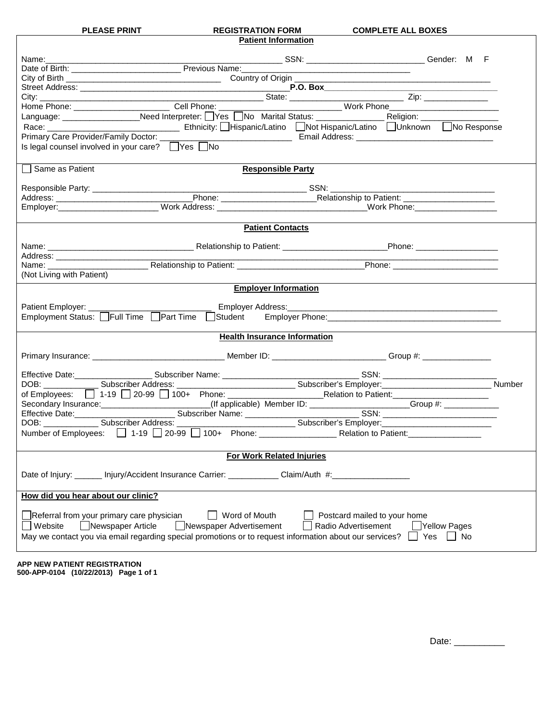| <b>PLEASE PRINT</b> |  |
|---------------------|--|
|---------------------|--|

| <b>PLEASE PRINT</b> | <b>REGISTRATION FORM</b> | <b>COMPLETE ALL BOXES</b> |
|---------------------|--------------------------|---------------------------|
|---------------------|--------------------------|---------------------------|

┑

| <b>Patient Information</b>                                                                                                                                                                                                                                         |                                                                                                                |
|--------------------------------------------------------------------------------------------------------------------------------------------------------------------------------------------------------------------------------------------------------------------|----------------------------------------------------------------------------------------------------------------|
|                                                                                                                                                                                                                                                                    |                                                                                                                |
|                                                                                                                                                                                                                                                                    | the control of the control of the control of the control of the control of the control of                      |
|                                                                                                                                                                                                                                                                    |                                                                                                                |
|                                                                                                                                                                                                                                                                    |                                                                                                                |
| Street Address: <u>P.O. Box Professional City:</u><br>City: <u>Cell Phone: Cell Phone: State: Vester Address: City: Cell Phone: Cell Phone: Cell Phone: Cell Phone: Cell Phone: Cell Phone: Cell Phone: Cell Phone: Cell Phone: Cell Pho</u>                       |                                                                                                                |
|                                                                                                                                                                                                                                                                    |                                                                                                                |
|                                                                                                                                                                                                                                                                    |                                                                                                                |
|                                                                                                                                                                                                                                                                    |                                                                                                                |
|                                                                                                                                                                                                                                                                    |                                                                                                                |
|                                                                                                                                                                                                                                                                    |                                                                                                                |
|                                                                                                                                                                                                                                                                    |                                                                                                                |
| Same as Patient<br><b>Responsible Party</b>                                                                                                                                                                                                                        |                                                                                                                |
|                                                                                                                                                                                                                                                                    |                                                                                                                |
|                                                                                                                                                                                                                                                                    |                                                                                                                |
|                                                                                                                                                                                                                                                                    |                                                                                                                |
|                                                                                                                                                                                                                                                                    |                                                                                                                |
| <b>Patient Contacts</b>                                                                                                                                                                                                                                            |                                                                                                                |
|                                                                                                                                                                                                                                                                    |                                                                                                                |
|                                                                                                                                                                                                                                                                    |                                                                                                                |
| Address: _______________________<br>Name: Name: Name: Nelationship to Patient: Name: Name: Name: Name: Name: Name: Name: Name: Name: Name: Name: Name: Name: Name: Name: Name: Name: Name: Name: Name: Name: Name: Name: Name: Name: Name: Name: Name: Name: Name: |                                                                                                                |
| (Not Living with Patient)                                                                                                                                                                                                                                          |                                                                                                                |
|                                                                                                                                                                                                                                                                    |                                                                                                                |
| <b>Employer Information</b>                                                                                                                                                                                                                                        |                                                                                                                |
|                                                                                                                                                                                                                                                                    |                                                                                                                |
| Patient Employer: _________                                                                                                                                                                                                                                        | Employer Address: Andreas Andreas Andreas Andreas Andreas Andreas Andreas Andreas Andreas Andreas Andreas Andr |
| Employment Status: Full Time Part Time Student Employer Phone: <u>Communic Communicum</u> Communicum Communicum Commun                                                                                                                                             |                                                                                                                |
| <b>Health Insurance Information</b>                                                                                                                                                                                                                                |                                                                                                                |
|                                                                                                                                                                                                                                                                    |                                                                                                                |
|                                                                                                                                                                                                                                                                    |                                                                                                                |
|                                                                                                                                                                                                                                                                    |                                                                                                                |
|                                                                                                                                                                                                                                                                    |                                                                                                                |
|                                                                                                                                                                                                                                                                    |                                                                                                                |
|                                                                                                                                                                                                                                                                    |                                                                                                                |
| Secondary Insurance: (If applicable) Member ID: Croup #: Croup #: Croup #: Croup #: Croup #: Croup #: Croup #: Croup #: Croup #: Croup #: Croup #: Croup #: Croup #: Croup #: Croup #: Croup #: Croup #: Croup #: Croup #: Cro                                     |                                                                                                                |
|                                                                                                                                                                                                                                                                    |                                                                                                                |
|                                                                                                                                                                                                                                                                    |                                                                                                                |
|                                                                                                                                                                                                                                                                    |                                                                                                                |
| For Work Related Injuries                                                                                                                                                                                                                                          |                                                                                                                |
|                                                                                                                                                                                                                                                                    |                                                                                                                |
| Date of Injury: _______ Injury/Accident Insurance Carrier: _____________Claim/Auth #:__                                                                                                                                                                            |                                                                                                                |
|                                                                                                                                                                                                                                                                    |                                                                                                                |
| How did you hear about our clinic?                                                                                                                                                                                                                                 |                                                                                                                |
| Referral from your primary care physician<br>Word of Mouth                                                                                                                                                                                                         | Postcard mailed to your home                                                                                   |
| Newspaper Advertisement                                                                                                                                                                                                                                            | Radio Advertisement                                                                                            |
| Newspaper Article<br>Website                                                                                                                                                                                                                                       | Nellow Pages                                                                                                   |
| May we contact you via email regarding special promotions or to request information about our services?                                                                                                                                                            | No<br>Yes                                                                                                      |
|                                                                                                                                                                                                                                                                    |                                                                                                                |
|                                                                                                                                                                                                                                                                    |                                                                                                                |

**APP NEW PATIENT REGISTRATION 500-APP-0104 (10/22/2013) Page 1 of 1**

Date: \_\_\_\_\_\_\_\_\_\_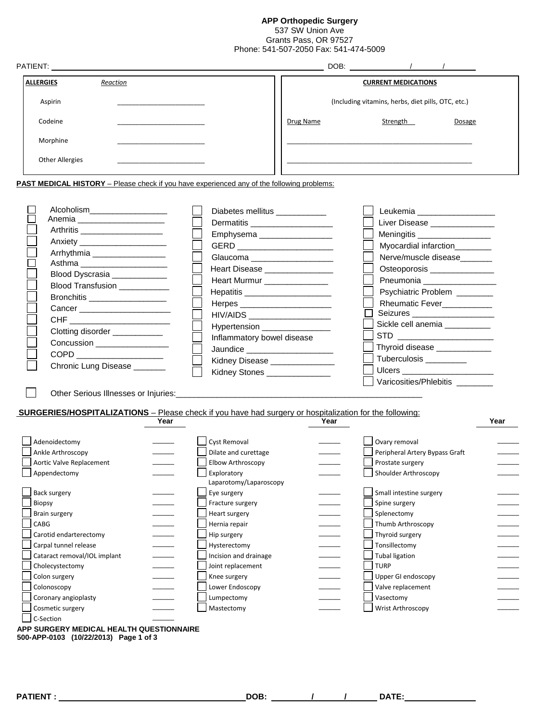**APP Orthopedic Surgery**

537 SW Union Ave Grants Pass, OR 97527 Phone: 541-507-2050 Fax: 541-474-5009

| <b>PATIENT: EXAMPLE PATIENT:</b> | DOB: the contract of the contract of the contract of the contract of the contract of the contract of the contract of the contract of the contract of the contract of the contract of the contract of the contract of the contr |
|----------------------------------|--------------------------------------------------------------------------------------------------------------------------------------------------------------------------------------------------------------------------------|
| <b>ALLERGIES</b><br>Reaction     | <b>CURRENT MEDICATIONS</b>                                                                                                                                                                                                     |
| Aspirin                          | (Including vitamins, herbs, diet pills, OTC, etc.)                                                                                                                                                                             |
| Codeine                          | Strength<br>Drug Name<br>Dosage                                                                                                                                                                                                |
| Morphine                         |                                                                                                                                                                                                                                |
| <b>Other Allergies</b>           |                                                                                                                                                                                                                                |

**PAST MEDICAL HISTORY** – Please check if you have experienced any of the following problems:

| Alcoholism_____________________  | Diabetes mellitus __________    | Leukemia _________________    |
|----------------------------------|---------------------------------|-------------------------------|
| Anemia ________________________  | Dermatitis ____________________ | Liver Disease _____________   |
| Arthritis _____________________  | Emphysema ___________________   | Meningitis __________________ |
| Anxiety ________________________ | GERD _____________________      | Myocardial infarction________ |
| Arrhythmia ___________________   | Glaucoma ____________________   | Nerve/muscle disease______    |
| Asthma ______________________    | Heart Disease ________________  | Osteoporosis _______________  |
| Blood Dyscrasia ____________     | Heart Murmur _______________    | Pneumonia _________________   |
| Blood Transfusion __________     | Hepatitis _____________________ | Psychiatric Problem _______   |
| Bronchitis ___________________   |                                 | Rheumatic Fever_________      |
| Cancer <b>Cancer</b>             | HIV/AIDS ___________________    | Seizures ____________________ |
| CHF _________________________    | Hypertension __________________ | Sickle cell anemia __________ |
| Clotting disorder ___________    | Inflammatory bowel disease      | STD _____________________     |
| Concussion __________________    |                                 | Thyroid disease _____________ |
| $\texttt{COPD} \_\_\_\_\_\_\_\_$ | Jaundice ______________________ | Tuberculosis _________        |
| Chronic Lung Disease ______      | Kidney Disease ________________ |                               |
|                                  | Kidney Stones _______________   |                               |
|                                  |                                 | Varicosities/Phlebitis        |

Other Serious Illnesses or Injuries:\_\_\_\_\_\_\_\_\_\_\_\_\_\_\_\_\_\_\_\_\_\_\_\_\_\_\_\_\_\_\_\_\_\_\_\_\_\_\_\_\_\_\_\_\_\_\_\_\_\_\_\_\_\_

# **SURGERIES/HOSPITALIZATIONS** – Please check if you have had surgery or hospitalization for the following:

|                              | Year |                          | Year |                                | Year |
|------------------------------|------|--------------------------|------|--------------------------------|------|
|                              |      |                          |      |                                |      |
| Adenoidectomy                |      | <b>Cyst Removal</b>      |      | Ovary removal                  |      |
| Ankle Arthroscopy            |      | Dilate and curettage     |      | Peripheral Artery Bypass Graft |      |
| Aortic Valve Replacement     |      | <b>Elbow Arthroscopy</b> |      | Prostate surgery               |      |
| Appendectomy                 |      | Exploratory              |      | Shoulder Arthroscopy           |      |
|                              |      | Laparotomy/Laparoscopy   |      |                                |      |
| Back surgery                 |      | Eye surgery              |      | Small intestine surgery        |      |
| Biopsy                       |      | Fracture surgery         |      | Spine surgery                  |      |
| <b>Brain surgery</b>         |      | Heart surgery            |      | Splenectomy                    |      |
| CABG                         |      | Hernia repair            |      | Thumb Arthroscopy              |      |
| Carotid endarterectomy       |      | Hip surgery              |      | Thyroid surgery                |      |
| Carpal tunnel release        |      | Hysterectomy             |      | Tonsillectomy                  |      |
| Cataract removal/IOL implant |      | Incision and drainage    |      | <b>Tubal ligation</b>          |      |
| Cholecystectomy              |      | Joint replacement        |      | <b>TURP</b>                    |      |
| Colon surgery                |      | Knee surgery             |      | Upper GI endoscopy             |      |
| Colonoscopy                  |      | Lower Endoscopy          |      | Valve replacement              |      |
| Coronary angioplasty         |      | Lumpectomy               |      | Vasectomy                      |      |
| Cosmetic surgery             |      | Mastectomy               |      | Wrist Arthroscopy              |      |
| C-Section                    |      |                          |      |                                |      |

**APP SURGERY MEDICAL HEALTH QUESTIONNAIRE 500-APP-0103 (10/22/2013) Page 1 of 3** 

**PATIENT : DOB: / / DATE:**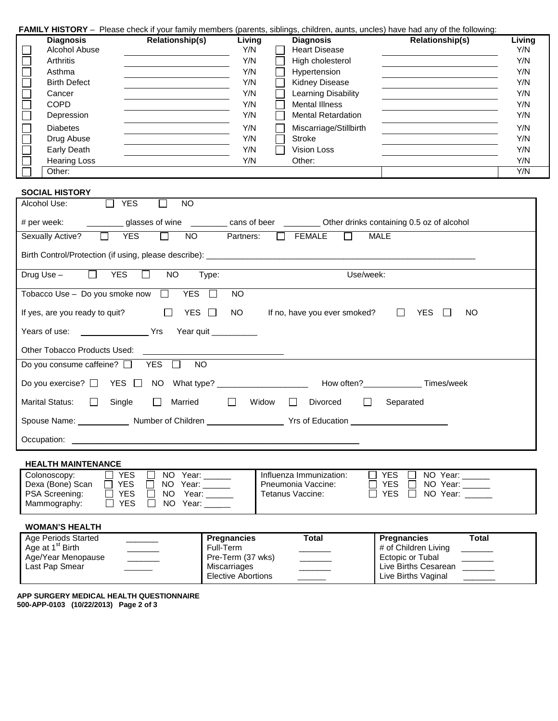| FAMILY HISTORY - Please check if your family members (parents, siblings, children, aunts, uncles) have had any of the following: |  |  |  |  |  |  |
|----------------------------------------------------------------------------------------------------------------------------------|--|--|--|--|--|--|
|----------------------------------------------------------------------------------------------------------------------------------|--|--|--|--|--|--|

| <b>Diagnosis</b>    | <b>Relationship(s)</b> | Living | <b>Diagnosis</b>          | <b>Relationship(s)</b> | Living |
|---------------------|------------------------|--------|---------------------------|------------------------|--------|
| Alcohol Abuse       |                        | Y/N    | <b>Heart Disease</b>      |                        | Y/N    |
| <b>Arthritis</b>    |                        | Y/N    | High cholesterol          |                        | Y/N    |
| Asthma              |                        | Y/N    | Hypertension              |                        | Y/N    |
| <b>Birth Defect</b> |                        | Y/N    | <b>Kidney Disease</b>     |                        | Y/N    |
| Cancer              |                        | Y/N    | Learning Disability       |                        | Y/N    |
| <b>COPD</b>         |                        | Y/N    | <b>Mental Illness</b>     |                        | Y/N    |
| Depression          |                        | Y/N    | <b>Mental Retardation</b> |                        | Y/N    |
| <b>Diabetes</b>     |                        | Y/N    | Miscarriage/Stillbirth    |                        | Y/N    |
| Drug Abuse          |                        | Y/N    | Stroke                    |                        | Y/N    |
| Early Death         |                        | Y/N    | Vision Loss               |                        | Y/N    |
| <b>Hearing Loss</b> |                        | Y/N    | Other:                    |                        | Y/N    |
| Other:              |                        |        |                           |                        | Y/N    |

### **SOCIAL HISTORY**

### **WOMAN'S HEALTH**

| Age Periods Started          | <b>Pregnancies</b>        | Total | <b>Pregnancies</b>   | Total |
|------------------------------|---------------------------|-------|----------------------|-------|
| Age at 1 <sup>st</sup> Birth | Full-Term                 |       | # of Children Living |       |
| Age/Year Menopause           | Pre-Term (37 wks)         |       | Ectopic or Tubal     |       |
| Last Pap Smear               | Miscarriages              |       | Live Births Cesarean |       |
|                              | <b>Elective Abortions</b> |       | Live Births Vaginal  |       |

**APP SURGERY MEDICAL HEALTH QUESTIONNAIRE 500-APP-0103 (10/22/2013) Page 2 of 3**